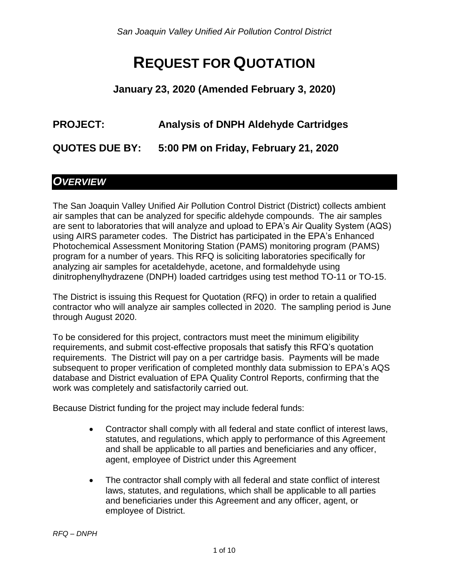*San Joaquin Valley Unified Air Pollution Control District*

# **REQUEST FOR QUOTATION**

**January 23, 2020 (Amended February 3, 2020)**

#### **PROJECT: Analysis of DNPH Aldehyde Cartridges**

**QUOTES DUE BY: 5:00 PM on Friday, February 21, 2020**

### *OVERVIEW*

The San Joaquin Valley Unified Air Pollution Control District (District) collects ambient air samples that can be analyzed for specific aldehyde compounds. The air samples are sent to laboratories that will analyze and upload to EPA's Air Quality System (AQS) using AIRS parameter codes. The District has participated in the EPA's Enhanced Photochemical Assessment Monitoring Station (PAMS) monitoring program (PAMS) program for a number of years. This RFQ is soliciting laboratories specifically for analyzing air samples for acetaldehyde, acetone, and formaldehyde using dinitrophenylhydrazene (DNPH) loaded cartridges using test method TO-11 or TO-15.

The District is issuing this Request for Quotation (RFQ) in order to retain a qualified contractor who will analyze air samples collected in 2020. The sampling period is June through August 2020.

To be considered for this project, contractors must meet the minimum eligibility requirements, and submit cost-effective proposals that satisfy this RFQ's quotation requirements. The District will pay on a per cartridge basis. Payments will be made subsequent to proper verification of completed monthly data submission to EPA's AQS database and District evaluation of EPA Quality Control Reports, confirming that the work was completely and satisfactorily carried out.

Because District funding for the project may include federal funds:

- Contractor shall comply with all federal and state conflict of interest laws, statutes, and regulations, which apply to performance of this Agreement and shall be applicable to all parties and beneficiaries and any officer, agent, employee of District under this Agreement
- The contractor shall comply with all federal and state conflict of interest laws, statutes, and regulations, which shall be applicable to all parties and beneficiaries under this Agreement and any officer, agent, or employee of District.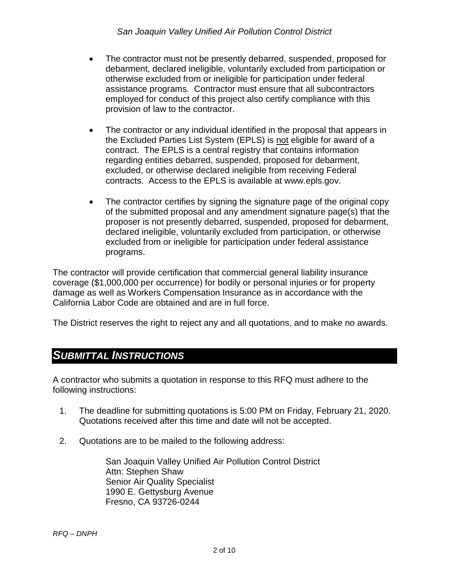- The contractor must not be presently debarred, suspended, proposed for debarment, declared ineligible, voluntarily excluded from participation or otherwise excluded from or ineligible for participation under federal assistance programs. Contractor must ensure that all subcontractors employed for conduct of this project also certify compliance with this provision of law to the contractor.
- The contractor or any individual identified in the proposal that appears in the Excluded Parties List System (EPLS) is not eligible for award of a contract. The EPLS is a central registry that contains information regarding entities debarred, suspended, proposed for debarment, excluded, or otherwise declared ineligible from receiving Federal contracts. Access to the EPLS is available at www.epls.gov.
- The contractor certifies by signing the signature page of the original copy of the submitted proposal and any amendment signature page(s) that the proposer is not presently debarred, suspended, proposed for debarment, declared ineligible, voluntarily excluded from participation, or otherwise excluded from or ineligible for participation under federal assistance programs.

The contractor will provide certification that commercial general liability insurance coverage (\$1,000,000 per occurrence) for bodily or personal injuries or for property damage as well as Workers Compensation Insurance as in accordance with the California Labor Code are obtained and are in full force.

The District reserves the right to reject any and all quotations, and to make no awards.

#### *SUBMITTAL INSTRUCTIONS*

A contractor who submits a quotation in response to this RFQ must adhere to the following instructions:

- 1. The deadline for submitting quotations is 5:00 PM on Friday, February 21, 2020. Quotations received after this time and date will not be accepted.
- 2. Quotations are to be mailed to the following address:

San Joaquin Valley Unified Air Pollution Control District Attn: Stephen Shaw Senior Air Quality Specialist 1990 E. Gettysburg Avenue Fresno, CA 93726-0244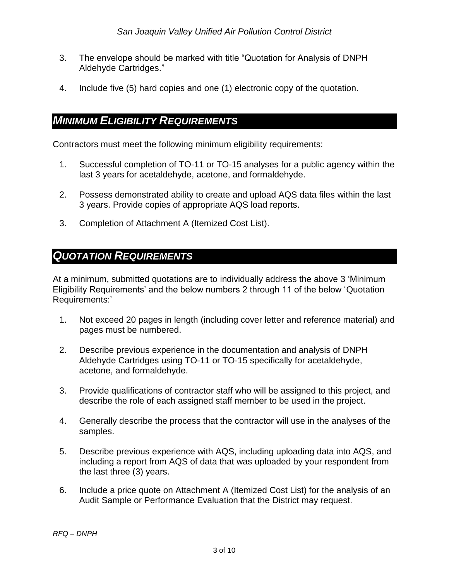- 3. The envelope should be marked with title "Quotation for Analysis of DNPH Aldehyde Cartridges."
- 4. Include five (5) hard copies and one (1) electronic copy of the quotation.

### *MINIMUM ELIGIBILITY REQUIREMENTS*

Contractors must meet the following minimum eligibility requirements:

- 1. Successful completion of TO-11 or TO-15 analyses for a public agency within the last 3 years for acetaldehyde, acetone, and formaldehyde.
- 2. Possess demonstrated ability to create and upload AQS data files within the last 3 years. Provide copies of appropriate AQS load reports.
- 3. Completion of Attachment A (Itemized Cost List).

### *QUOTATION REQUIREMENTS*

At a minimum, submitted quotations are to individually address the above 3 'Minimum Eligibility Requirements' and the below numbers 2 through 11 of the below 'Quotation Requirements:'

- 1. Not exceed 20 pages in length (including cover letter and reference material) and pages must be numbered.
- 2. Describe previous experience in the documentation and analysis of DNPH Aldehyde Cartridges using TO-11 or TO-15 specifically for acetaldehyde, acetone, and formaldehyde.
- 3. Provide qualifications of contractor staff who will be assigned to this project, and describe the role of each assigned staff member to be used in the project.
- 4. Generally describe the process that the contractor will use in the analyses of the samples.
- 5. Describe previous experience with AQS, including uploading data into AQS, and including a report from AQS of data that was uploaded by your respondent from the last three (3) years.
- 6. Include a price quote on Attachment A (Itemized Cost List) for the analysis of an Audit Sample or Performance Evaluation that the District may request.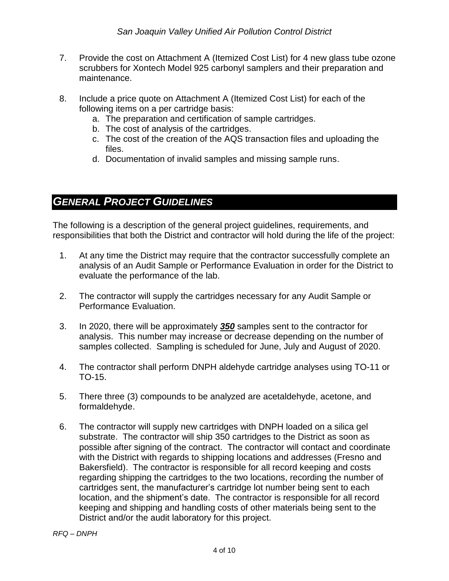- 7. Provide the cost on Attachment A (Itemized Cost List) for 4 new glass tube ozone scrubbers for Xontech Model 925 carbonyl samplers and their preparation and maintenance.
- 8. Include a price quote on Attachment A (Itemized Cost List) for each of the following items on a per cartridge basis:
	- a. The preparation and certification of sample cartridges.
	- b. The cost of analysis of the cartridges.
	- c. The cost of the creation of the AQS transaction files and uploading the files.
	- d. Documentation of invalid samples and missing sample runs.

### *GENERAL PROJECT GUIDELINES*

The following is a description of the general project guidelines, requirements, and responsibilities that both the District and contractor will hold during the life of the project:

- 1. At any time the District may require that the contractor successfully complete an analysis of an Audit Sample or Performance Evaluation in order for the District to evaluate the performance of the lab.
- 2. The contractor will supply the cartridges necessary for any Audit Sample or Performance Evaluation.
- 3. In 2020, there will be approximately *350* samples sent to the contractor for analysis. This number may increase or decrease depending on the number of samples collected. Sampling is scheduled for June, July and August of 2020.
- 4. The contractor shall perform DNPH aldehyde cartridge analyses using TO-11 or TO-15.
- 5. There three (3) compounds to be analyzed are acetaldehyde, acetone, and formaldehyde.
- 6. The contractor will supply new cartridges with DNPH loaded on a silica gel substrate. The contractor will ship 350 cartridges to the District as soon as possible after signing of the contract. The contractor will contact and coordinate with the District with regards to shipping locations and addresses (Fresno and Bakersfield). The contractor is responsible for all record keeping and costs regarding shipping the cartridges to the two locations, recording the number of cartridges sent, the manufacturer's cartridge lot number being sent to each location, and the shipment's date. The contractor is responsible for all record keeping and shipping and handling costs of other materials being sent to the District and/or the audit laboratory for this project.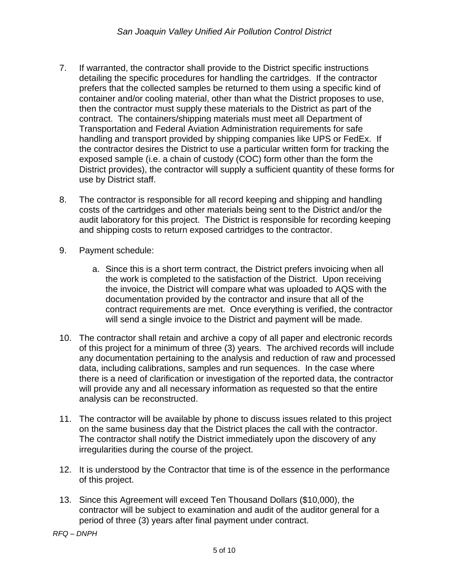- 7. If warranted, the contractor shall provide to the District specific instructions detailing the specific procedures for handling the cartridges. If the contractor prefers that the collected samples be returned to them using a specific kind of container and/or cooling material, other than what the District proposes to use, then the contractor must supply these materials to the District as part of the contract. The containers/shipping materials must meet all Department of Transportation and Federal Aviation Administration requirements for safe handling and transport provided by shipping companies like UPS or FedEx. If the contractor desires the District to use a particular written form for tracking the exposed sample (i.e. a chain of custody (COC) form other than the form the District provides), the contractor will supply a sufficient quantity of these forms for use by District staff.
- 8. The contractor is responsible for all record keeping and shipping and handling costs of the cartridges and other materials being sent to the District and/or the audit laboratory for this project. The District is responsible for recording keeping and shipping costs to return exposed cartridges to the contractor.
- 9. Payment schedule:
	- a. Since this is a short term contract, the District prefers invoicing when all the work is completed to the satisfaction of the District. Upon receiving the invoice, the District will compare what was uploaded to AQS with the documentation provided by the contractor and insure that all of the contract requirements are met. Once everything is verified, the contractor will send a single invoice to the District and payment will be made.
- 10. The contractor shall retain and archive a copy of all paper and electronic records of this project for a minimum of three (3) years. The archived records will include any documentation pertaining to the analysis and reduction of raw and processed data, including calibrations, samples and run sequences. In the case where there is a need of clarification or investigation of the reported data, the contractor will provide any and all necessary information as requested so that the entire analysis can be reconstructed.
- 11. The contractor will be available by phone to discuss issues related to this project on the same business day that the District places the call with the contractor. The contractor shall notify the District immediately upon the discovery of any irregularities during the course of the project.
- 12. It is understood by the Contractor that time is of the essence in the performance of this project.
- 13. Since this Agreement will exceed Ten Thousand Dollars (\$10,000), the contractor will be subject to examination and audit of the auditor general for a period of three (3) years after final payment under contract.

*RFQ – DNPH*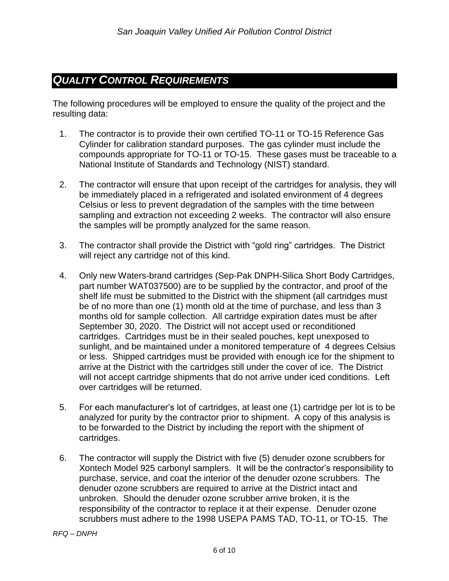## *QUALITY CONTROL REQUIREMENTS*

The following procedures will be employed to ensure the quality of the project and the resulting data:

- 1. The contractor is to provide their own certified TO-11 or TO-15 Reference Gas Cylinder for calibration standard purposes. The gas cylinder must include the compounds appropriate for TO-11 or TO-15. These gases must be traceable to a National Institute of Standards and Technology (NIST) standard.
- 2. The contractor will ensure that upon receipt of the cartridges for analysis, they will be immediately placed in a refrigerated and isolated environment of 4 degrees Celsius or less to prevent degradation of the samples with the time between sampling and extraction not exceeding 2 weeks. The contractor will also ensure the samples will be promptly analyzed for the same reason.
- 3. The contractor shall provide the District with "gold ring" cartridges. The District will reject any cartridge not of this kind.
- 4. Only new Waters-brand cartridges (Sep-Pak DNPH-Silica Short Body Cartridges, part number WAT037500) are to be supplied by the contractor, and proof of the shelf life must be submitted to the District with the shipment (all cartridges must be of no more than one (1) month old at the time of purchase, and less than 3 months old for sample collection. All cartridge expiration dates must be after September 30, 2020. The District will not accept used or reconditioned cartridges. Cartridges must be in their sealed pouches, kept unexposed to sunlight, and be maintained under a monitored temperature of 4 degrees Celsius or less. Shipped cartridges must be provided with enough ice for the shipment to arrive at the District with the cartridges still under the cover of ice. The District will not accept cartridge shipments that do not arrive under iced conditions. Left over cartridges will be returned.
- 5. For each manufacturer's lot of cartridges, at least one (1) cartridge per lot is to be analyzed for purity by the contractor prior to shipment. A copy of this analysis is to be forwarded to the District by including the report with the shipment of cartridges.
- 6. The contractor will supply the District with five (5) denuder ozone scrubbers for Xontech Model 925 carbonyl samplers. It will be the contractor's responsibility to purchase, service, and coat the interior of the denuder ozone scrubbers. The denuder ozone scrubbers are required to arrive at the District intact and unbroken. Should the denuder ozone scrubber arrive broken, it is the responsibility of the contractor to replace it at their expense. Denuder ozone scrubbers must adhere to the 1998 USEPA PAMS TAD, TO-11, or TO-15. The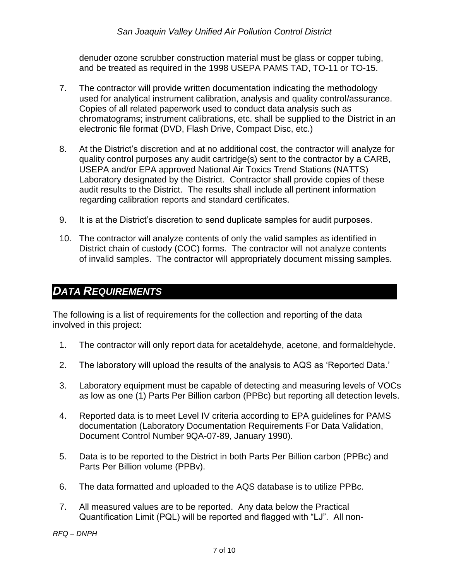denuder ozone scrubber construction material must be glass or copper tubing, and be treated as required in the 1998 USEPA PAMS TAD, TO-11 or TO-15.

- 7. The contractor will provide written documentation indicating the methodology used for analytical instrument calibration, analysis and quality control/assurance. Copies of all related paperwork used to conduct data analysis such as chromatograms; instrument calibrations, etc. shall be supplied to the District in an electronic file format (DVD, Flash Drive, Compact Disc, etc.)
- 8. At the District's discretion and at no additional cost, the contractor will analyze for quality control purposes any audit cartridge(s) sent to the contractor by a CARB, USEPA and/or EPA approved National Air Toxics Trend Stations (NATTS) Laboratory designated by the District. Contractor shall provide copies of these audit results to the District. The results shall include all pertinent information regarding calibration reports and standard certificates.
- 9. It is at the District's discretion to send duplicate samples for audit purposes.
- 10. The contractor will analyze contents of only the valid samples as identified in District chain of custody (COC) forms. The contractor will not analyze contents of invalid samples. The contractor will appropriately document missing samples.

### *DATA REQUIREMENTS*

The following is a list of requirements for the collection and reporting of the data involved in this project:

- 1. The contractor will only report data for acetaldehyde, acetone, and formaldehyde.
- 2. The laboratory will upload the results of the analysis to AQS as 'Reported Data.'
- 3. Laboratory equipment must be capable of detecting and measuring levels of VOCs as low as one (1) Parts Per Billion carbon (PPBc) but reporting all detection levels.
- 4. Reported data is to meet Level IV criteria according to EPA guidelines for PAMS documentation (Laboratory Documentation Requirements For Data Validation, Document Control Number 9QA-07-89, January 1990).
- 5. Data is to be reported to the District in both Parts Per Billion carbon (PPBc) and Parts Per Billion volume (PPBv).
- 6. The data formatted and uploaded to the AQS database is to utilize PPBc.
- 7. All measured values are to be reported. Any data below the Practical Quantification Limit (PQL) will be reported and flagged with "LJ". All non-

*RFQ – DNPH*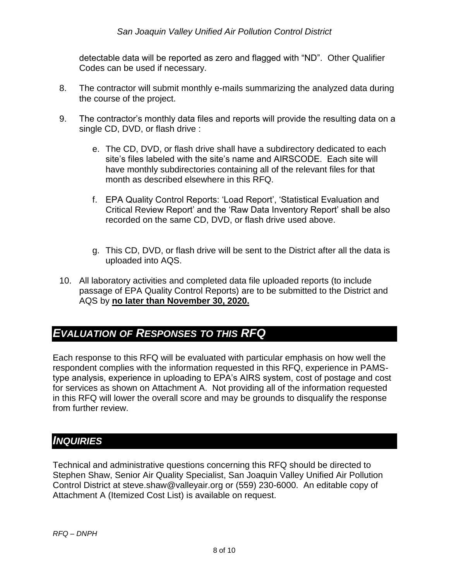#### *San Joaquin Valley Unified Air Pollution Control District*

detectable data will be reported as zero and flagged with "ND". Other Qualifier Codes can be used if necessary.

- 8. The contractor will submit monthly e-mails summarizing the analyzed data during the course of the project.
- 9. The contractor's monthly data files and reports will provide the resulting data on a single CD, DVD, or flash drive :
	- e. The CD, DVD, or flash drive shall have a subdirectory dedicated to each site's files labeled with the site's name and AIRSCODE. Each site will have monthly subdirectories containing all of the relevant files for that month as described elsewhere in this RFQ.
	- f. EPA Quality Control Reports: 'Load Report', 'Statistical Evaluation and Critical Review Report' and the 'Raw Data Inventory Report' shall be also recorded on the same CD, DVD, or flash drive used above.
	- g. This CD, DVD, or flash drive will be sent to the District after all the data is uploaded into AQS.
- 10. All laboratory activities and completed data file uploaded reports (to include passage of EPA Quality Control Reports) are to be submitted to the District and AQS by **no later than November 30, 2020.**

### *EVALUATION OF RESPONSES TO THIS RFQ*

Each response to this RFQ will be evaluated with particular emphasis on how well the respondent complies with the information requested in this RFQ, experience in PAMStype analysis, experience in uploading to EPA's AIRS system, cost of postage and cost for services as shown on Attachment A. Not providing all of the information requested in this RFQ will lower the overall score and may be grounds to disqualify the response from further review.

#### *INQUIRIES*

Technical and administrative questions concerning this RFQ should be directed to Stephen Shaw, Senior Air Quality Specialist, San Joaquin Valley Unified Air Pollution Control District at steve.shaw@valleyair.org or (559) 230-6000. An editable copy of Attachment A (Itemized Cost List) is available on request.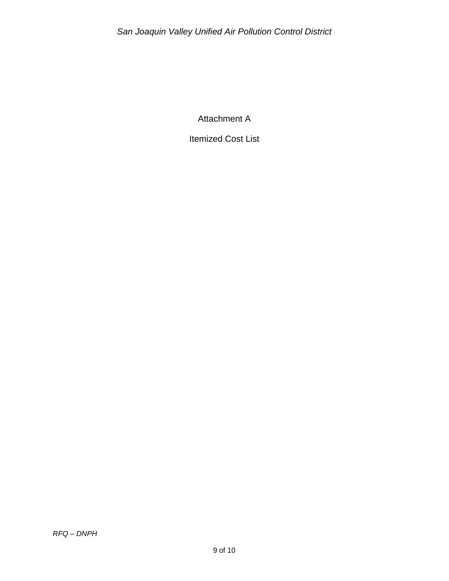Attachment A

Itemized Cost List